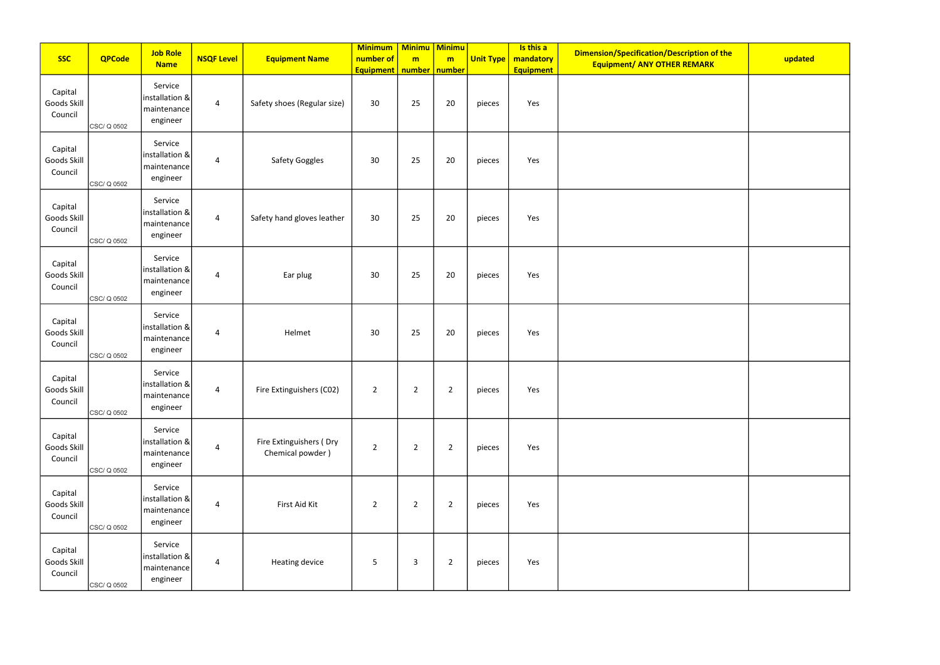|                                   |               | <b>Job Role</b>                                          |                   |                                             | Minimum   Minimu   Minimu                       |                |                |                  | Is this a                     | Dimension/Specification/Description of the |         |
|-----------------------------------|---------------|----------------------------------------------------------|-------------------|---------------------------------------------|-------------------------------------------------|----------------|----------------|------------------|-------------------------------|--------------------------------------------|---------|
| <b>SSC</b>                        | <b>QPCode</b> | <b>Name</b>                                              | <b>NSQF Level</b> | <b>Equipment Name</b>                       | number of<br><b>Equipment</b>   number   number | m              | m              | <b>Unit Type</b> | mandatory<br><b>Equipment</b> | <b>Equipment/ ANY OTHER REMARK</b>         | updated |
| Capital<br>Goods Skill<br>Council | CSC/ Q 0502   | Service<br>installation &<br>maintenance<br>engineer     | $\overline{a}$    | Safety shoes (Regular size)                 | 30 <sup>°</sup>                                 | 25             | 20             | pieces           | Yes                           |                                            |         |
| Capital<br>Goods Skill<br>Council | CSC/ Q 0502   | Service<br>installation &<br>maintenance<br>engineer     | 4                 | Safety Goggles                              | 30                                              | 25             | 20             | pieces           | Yes                           |                                            |         |
| Capital<br>Goods Skill<br>Council | CSC/ Q 0502   | Service<br>installation &<br>maintenance<br>engineer     | $\overline{a}$    | Safety hand gloves leather                  | 30 <sup>°</sup>                                 | 25             | 20             | pieces           | Yes                           |                                            |         |
| Capital<br>Goods Skill<br>Council | CSC/ Q 0502   | Service<br>installation &<br>maintenance<br>engineer     | $\overline{4}$    | Ear plug                                    | 30                                              | 25             | 20             | pieces           | Yes                           |                                            |         |
| Capital<br>Goods Skill<br>Council | CSC/ Q 0502   | Service<br>installation &<br>maintenance<br>engineer     | $\overline{4}$    | Helmet                                      | 30                                              | 25             | 20             | pieces           | Yes                           |                                            |         |
| Capital<br>Goods Skill<br>Council | CSC/ Q 0502   | Service<br>installation &<br>  maintenance  <br>engineer | 4                 | Fire Extinguishers (CO2)                    | $\overline{2}$                                  | $\overline{2}$ | $\overline{2}$ | pieces           | Yes                           |                                            |         |
| Capital<br>Goods Skill<br>Council | CSC/ Q 0502   | Service<br>installation &<br>maintenance<br>engineer     | $\overline{a}$    | Fire Extinguishers (Dry<br>Chemical powder) | $\overline{2}$                                  | $\overline{2}$ | $\overline{2}$ | pieces           | Yes                           |                                            |         |
| Capital<br>Goods Skill<br>Council | CSC/ Q 0502   | Service<br>installation &<br>maintenance<br>engineer     | $\overline{a}$    | First Aid Kit                               | $\overline{2}$                                  | $\overline{2}$ | $\overline{2}$ | pieces           | Yes                           |                                            |         |
| Capital<br>Goods Skill<br>Council | CSC/ Q 0502   | Service<br>installation &<br>maintenance<br>engineer     | $\overline{a}$    | Heating device                              | 5                                               | $\overline{3}$ | $\overline{2}$ | pieces           | Yes                           |                                            |         |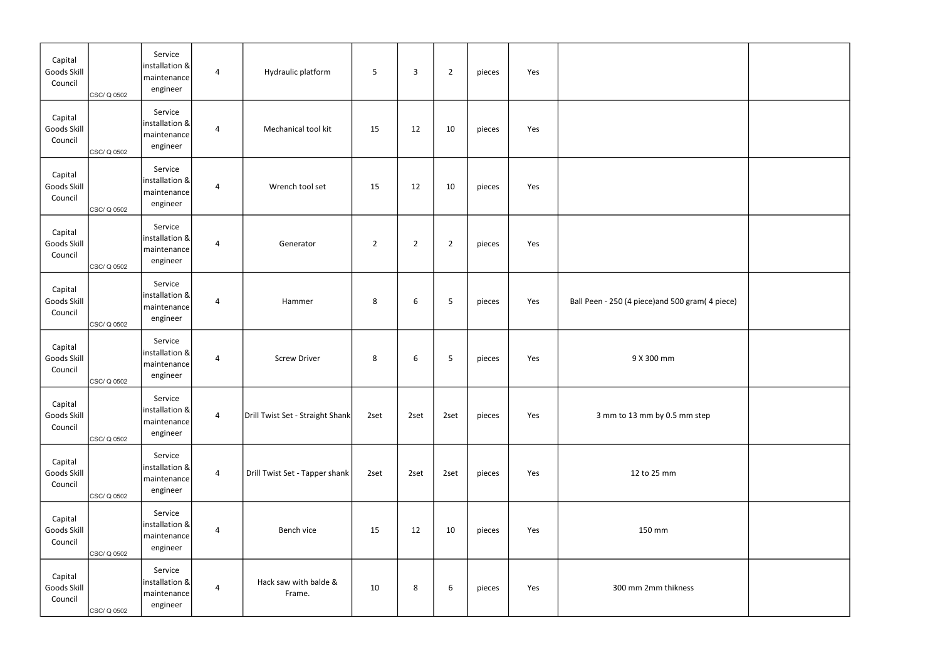| Capital<br>Goods Skill<br>Council | CSC/ Q 0502 | Service<br> installation & <br>maintenance<br>engineer     | $\overline{a}$ | Hydraulic platform               | 5              | $\overline{3}$ | $\overline{2}$ | pieces | Yes |                                                  |  |
|-----------------------------------|-------------|------------------------------------------------------------|----------------|----------------------------------|----------------|----------------|----------------|--------|-----|--------------------------------------------------|--|
| Capital<br>Goods Skill<br>Council | CSC/ Q 0502 | Service<br> installation &<br>  maintenance  <br>engineer  | $\overline{4}$ | Mechanical tool kit              | 15             | 12             | 10             | pieces | Yes |                                                  |  |
| Capital<br>Goods Skill<br>Council | CSC/ Q 0502 | Service<br> installation &<br>maintenance<br>engineer      | 4              | Wrench tool set                  | 15             | 12             | 10             | pieces | Yes |                                                  |  |
| Capital<br>Goods Skill<br>Council | CSC/ Q 0502 | Service<br> installation &<br>maintenance<br>engineer      | $\overline{4}$ | Generator                        | $\overline{2}$ | $\overline{2}$ | $\overline{2}$ | pieces | Yes |                                                  |  |
| Capital<br>Goods Skill<br>Council | CSC/ Q 0502 | Service<br> installation &<br>  maintenance  <br>engineer  | 4              | Hammer                           | 8              | 6              | 5              | pieces | Yes | Ball Peen - 250 (4 piece) and 500 gram (4 piece) |  |
| Capital<br>Goods Skill<br>Council | CSC/ Q 0502 | Service<br> installation & <br>maintenance<br>engineer     | $\overline{4}$ | <b>Screw Driver</b>              | 8              | 6              | 5              | pieces | Yes | 9 X 300 mm                                       |  |
| Capital<br>Goods Skill<br>Council | CSC/ Q 0502 | Service<br> installation & <br>maintenance<br>engineer     | $\overline{4}$ | Drill Twist Set - Straight Shank | 2set           | 2set           | 2set           | pieces | Yes | 3 mm to 13 mm by 0.5 mm step                     |  |
| Capital<br>Goods Skill<br>Council | CSC/ Q 0502 | Service<br> installation &<br>  maintenance  <br>engineer  | $\overline{a}$ | Drill Twist Set - Tapper shank   | 2set           | 2set           | 2set           | pieces | Yes | 12 to 25 mm                                      |  |
| Capital<br>Goods Skill<br>Council | CSC/ Q 0502 | Service<br> installation & <br>  maintenance  <br>engineer | $\overline{4}$ | Bench vice                       | 15             | 12             | 10             | pieces | Yes | 150 mm                                           |  |
| Capital<br>Goods Skill<br>Council | CSC/ Q 0502 | Service<br> installation & <br> maintenance <br>engineer   | $\overline{4}$ | Hack saw with balde &<br>Frame.  | 10             | 8              | 6              | pieces | Yes | 300 mm 2mm thikness                              |  |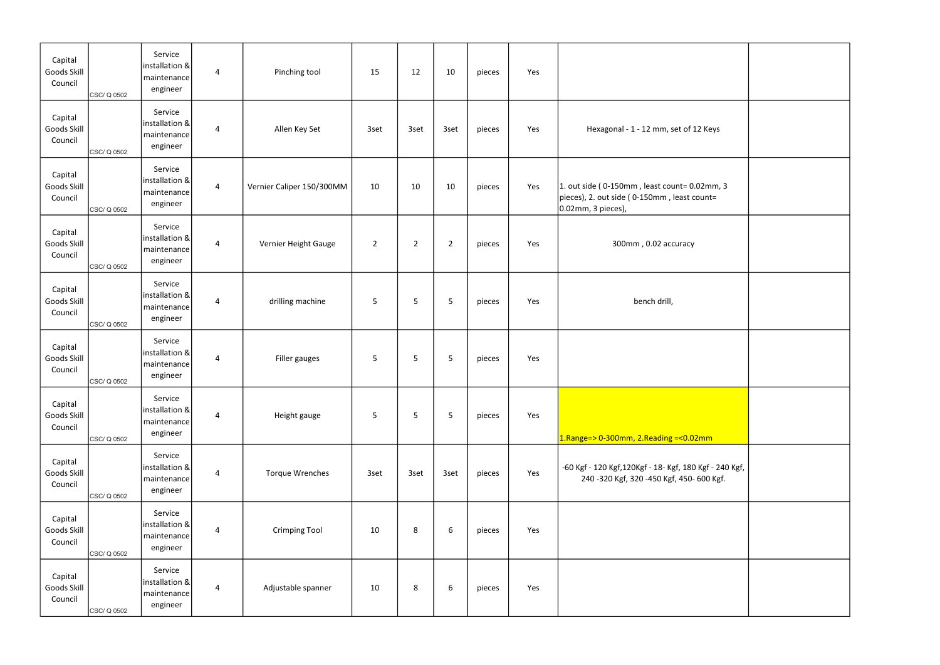| Capital<br>Goods Skill<br>Council | CSC/ Q 0502 | Service<br>installation &<br>maintenance<br>engineer         | $\overline{4}$ | Pinching tool             | 15             | 12             | 10             | pieces | Yes |                                                                                                                    |  |
|-----------------------------------|-------------|--------------------------------------------------------------|----------------|---------------------------|----------------|----------------|----------------|--------|-----|--------------------------------------------------------------------------------------------------------------------|--|
| Capital<br>Goods Skill<br>Council | CSC/ Q 0502 | Service<br>installation &<br>maintenance<br>engineer         | $\overline{4}$ | Allen Key Set             | 3set           | 3set           | 3set           | pieces | Yes | Hexagonal - 1 - 12 mm, set of 12 Keys                                                                              |  |
| Capital<br>Goods Skill<br>Council | CSC/ Q 0502 | Service<br>$ $ installation & $ $<br>maintenance<br>engineer | $\overline{4}$ | Vernier Caliper 150/300MM | 10             | 10             | 10             | pieces | Yes | $1.$ out side (0-150mm, least count=0.02mm, 3<br>pieces), 2. out side (0-150mm, least count=<br>0.02mm, 3 pieces), |  |
| Capital<br>Goods Skill<br>Council | CSC/ Q 0502 | Service<br>$ $ installation & $ $<br>maintenance<br>engineer | $\overline{4}$ | Vernier Height Gauge      | $\overline{2}$ | $\overline{2}$ | $\overline{2}$ | pieces | Yes | 300mm, 0.02 accuracy                                                                                               |  |
| Capital<br>Goods Skill<br>Council | CSC/ Q 0502 | Service<br> installation & <br>maintenance<br>engineer       | $\overline{4}$ | drilling machine          | 5              | 5              | 5              | pieces | Yes | bench drill,                                                                                                       |  |
| Capital<br>Goods Skill<br>Council | CSC/ Q 0502 | Service<br> installation & <br>maintenance<br>engineer       | $\overline{a}$ | Filler gauges             | 5              | 5              | 5              | pieces | Yes |                                                                                                                    |  |
| Capital<br>Goods Skill<br>Council | CSC/ Q 0502 | Service<br>installation &<br>maintenance<br>engineer         | $\overline{4}$ | Height gauge              | 5              | 5              | 5              | pieces | Yes | $1.$ Range=> 0-300mm, 2.Reading =< 0.02mm                                                                          |  |
| Capital<br>Goods Skill<br>Council | CSC/ Q 0502 | Service<br>installation &<br>maintenance<br>engineer         | $\overline{4}$ | <b>Torque Wrenches</b>    | 3set           | 3set           | 3set           | pieces | Yes | -60 Kgf - 120 Kgf, 120Kgf - 18- Kgf, 180 Kgf - 240 Kgf,<br>240 -320 Kgf, 320 -450 Kgf, 450- 600 Kgf.               |  |
| Capital<br>Goods Skill<br>Council | CSC/ Q 0502 | Service<br>installation &<br>maintenance<br>engineer         | $\overline{4}$ | <b>Crimping Tool</b>      | 10             | 8              | 6              | pieces | Yes |                                                                                                                    |  |
| Capital<br>Goods Skill<br>Council | CSC/ Q 0502 | Service<br>installation &<br>maintenance<br>engineer         | $\overline{4}$ | Adjustable spanner        | 10             | 8              | 6              | pieces | Yes |                                                                                                                    |  |

| eys                |  |
|--------------------|--|
| m, 3<br>$=$        |  |
|                    |  |
|                    |  |
|                    |  |
| Ì                  |  |
| - 240 Kgf,<br>Kgf. |  |
|                    |  |
|                    |  |